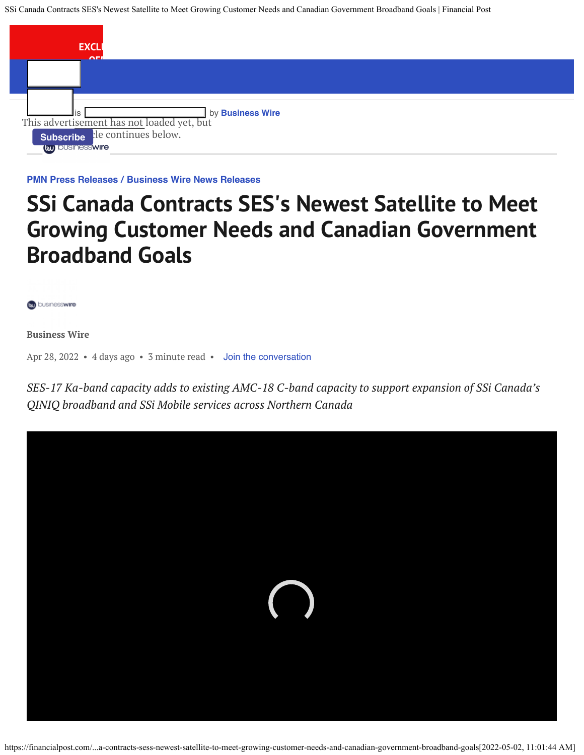SSi Canada Contracts SES's Newest Satellite to Meet Growing Customer Needs and Canadian Government Broadband Goals | Financial Post



**[PMN Press Releases](https://financialpost.com/category/pmn/press-releases-pmn/) / [Business Wire News Releases](https://financialpost.com/category/pmn/press-releases-pmn/business-wire-news-releases-pmn/)**

# **SSi Canada Contracts SES's Newest Satellite to Meet Growing Customer Needs and Canadian Government Broadband Goals**

businesswire

**Business Wire**

Apr 28, 2022 • 4 days ago • 3 minute read • [Join the conversation](#page--1-0)

*SES-17 Ka-band capacity adds to existing AMC-18 C-band capacity to support expansion of SSi Canada's QINIQ broadband and SSi Mobile services across Northern Canada*

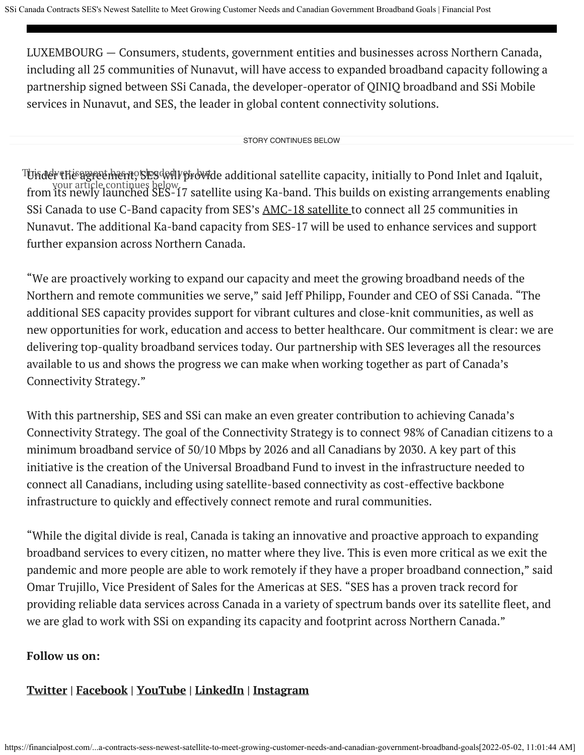LUXEMBOURG — Consumers, students, government entities and businesses across Northern Canada, including all 25 communities of Nunavut, will have access to expanded broadband capacity following a partnership signed between SSi Canada, the developer-operator of QINIQ broadband and SSi Mobile services in Nunavut, and SES, the leader in global content connectivity solutions.

STORY CONTINUES BELOW

Tunder the agreement, SES will provide additional satellite capacity, initially to Pond Inlet and Iqaluit, your article continues below.<br>I satellite using Ka-band. This builds on existing arrangements enabling from its newly launched SES-17 satellite using Ka-band. This builds on existing arrangements enabling SSi Canada to use C-Band capacity from SES's [AMC-18 satellite](https://cts.businesswire.com/ct/CT?id=smartlink&url=https%3A%2F%2Fwww.ses.com%2Fpress-release%2Fssi-canada-partners-ses-networks-deliver-new-satellite-capacity-northern-canada&esheet=52700466&newsitemid=20220427006258&lan=en-US&anchor=AMC-18+satellite&index=1&md5=7949cea6140ab5c69607928f1814709b) to connect all 25 communities in Nunavut. The additional Ka-band capacity from SES-17 will be used to enhance services and support further expansion across Northern Canada.

"We are proactively working to expand our capacity and meet the growing broadband needs of the Northern and remote communities we serve," said Jeff Philipp, Founder and CEO of SSi Canada. "The additional SES capacity provides support for vibrant cultures and close-knit communities, as well as new opportunities for work, education and access to better healthcare. Our commitment is clear: we are delivering top-quality broadband services today. Our partnership with SES leverages all the resources available to us and shows the progress we can make when working together as part of Canada's Connectivity Strategy."

With this partnership, SES and SSi can make an even greater contribution to achieving Canada's Connectivity Strategy. The goal of the Connectivity Strategy is to connect 98% of Canadian citizens to a minimum broadband service of 50/10 Mbps by 2026 and all Canadians by 2030. A key part of this initiative is the creation of the Universal Broadband Fund to invest in the infrastructure needed to connect all Canadians, including using satellite-based connectivity as cost-effective backbone infrastructure to quickly and effectively connect remote and rural communities.

"While the digital divide is real, Canada is taking an innovative and proactive approach to expanding broadband services to every citizen, no matter where they live. This is even more critical as we exit the pandemic and more people are able to work remotely if they have a proper broadband connection," said Omar Trujillo, Vice President of Sales for the Americas at SES. "SES has a proven track record for providing reliable data services across Canada in a variety of spectrum bands over its satellite fleet, and we are glad to work with SSi on expanding its capacity and footprint across Northern Canada."

#### **Follow us on:**

# **[Twitter](https://cts.businesswire.com/ct/CT?id=smartlink&url=https%3A%2F%2Ftwitter.com%2FSES_Satellites&esheet=52700466&newsitemid=20220427006258&lan=en-US&anchor=Twitter&index=2&md5=ee3c2ed66fbf0b9bb1ca3bd2c5e2bca9) | [Facebook](https://cts.businesswire.com/ct/CT?id=smartlink&url=https%3A%2F%2Fwww.facebook.com%2FSES.Satellites&esheet=52700466&newsitemid=20220427006258&lan=en-US&anchor=Facebook&index=3&md5=7191b79543166d42c1d3a6d3a2d2cb25) | [YouTube](https://cts.businesswire.com/ct/CT?id=smartlink&url=https%3A%2F%2Fwww.youtube.com%2Fses&esheet=52700466&newsitemid=20220427006258&lan=en-US&anchor=YouTube&index=4&md5=1f2d4ef26e0798302e324634fcc9912f) | [LinkedIn](https://cts.businesswire.com/ct/CT?id=smartlink&url=https%3A%2F%2Fwww.linkedin.com%2Fcompany%2Fses%2F&esheet=52700466&newsitemid=20220427006258&lan=en-US&anchor=LinkedIn&index=5&md5=f733ba6acdf33a19acb7b0552f7b166c) | [Instagram](https://cts.businesswire.com/ct/CT?id=smartlink&url=https%3A%2F%2Fwww.instagram.com%2Fses_satellites%2F&esheet=52700466&newsitemid=20220427006258&lan=en-US&anchor=Instagram&index=6&md5=6b4cf91c84aac352211d9f27b3a69c11)**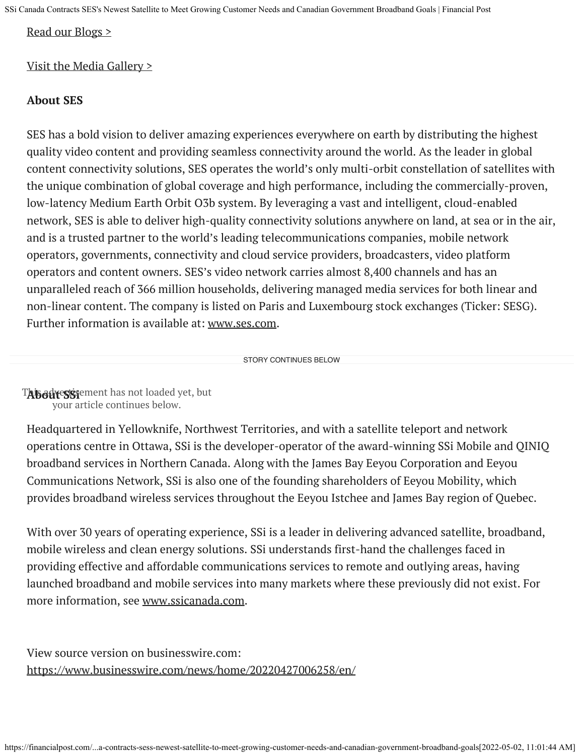SSi Canada Contracts SES's Newest Satellite to Meet Growing Customer Needs and Canadian Government Broadband Goals | Financial Post

#### [Read our Blogs >](https://cts.businesswire.com/ct/CT?id=smartlink&url=https%3A%2F%2Fwww.ses.com%2Fnews%2Fblogs&esheet=52700466&newsitemid=20220427006258&lan=en-US&anchor=Read+our+Blogs+%26gt%3B&index=7&md5=ef30f5c32dad4f42d1d9b433392e07e9)

## [Visit the Media Gallery >](https://cts.businesswire.com/ct/CT?id=smartlink&url=https%3A%2F%2Fwww.ses.com%2Fmedia-gallery&esheet=52700466&newsitemid=20220427006258&lan=en-US&anchor=Visit+the+Media+Gallery+%26gt%3B&index=8&md5=acfe404ab90b09579f95ca3a12452c7f)

## **About SES**

SES has a bold vision to deliver amazing experiences everywhere on earth by distributing the highest quality video content and providing seamless connectivity around the world. As the leader in global content connectivity solutions, SES operates the world's only multi-orbit constellation of satellites with the unique combination of global coverage and high performance, including the commercially-proven, low-latency Medium Earth Orbit O3b system. By leveraging a vast and intelligent, cloud-enabled network, SES is able to deliver high-quality connectivity solutions anywhere on land, at sea or in the air, and is a trusted partner to the world's leading telecommunications companies, mobile network operators, governments, connectivity and cloud service providers, broadcasters, video platform operators and content owners. SES's video network carries almost 8,400 channels and has an unparalleled reach of 366 million households, delivering managed media services for both linear and non-linear content. The company is listed on Paris and Luxembourg stock exchanges (Ticker: SESG). Further information is available at: [www.ses.com](https://cts.businesswire.com/ct/CT?id=smartlink&url=http%3A%2F%2Fwww.ses.com&esheet=52700466&newsitemid=20220427006258&lan=en-US&anchor=www.ses.com&index=9&md5=f21970cf4e847c8dc0553b6312f0b655).

STORY CONTINUES BELOW

T**ABodve5Si**ement has not loaded yet, but your article continues below.

Headquartered in Yellowknife, Northwest Territories, and with a satellite teleport and network operations centre in Ottawa, SSi is the developer-operator of the award-winning SSi Mobile and QINIQ broadband services in Northern Canada. Along with the James Bay Eeyou Corporation and Eeyou Communications Network, SSi is also one of the founding shareholders of Eeyou Mobility, which provides broadband wireless services throughout the Eeyou Istchee and James Bay region of Quebec.

With over 30 years of operating experience, SSi is a leader in delivering advanced satellite, broadband, mobile wireless and clean energy solutions. SSi understands first-hand the challenges faced in providing effective and affordable communications services to remote and outlying areas, having launched broadband and mobile services into many markets where these previously did not exist. For more information, see [www.ssicanada.com](https://cts.businesswire.com/ct/CT?id=smartlink&url=http%3A%2F%2Fwww.ssicanada.com&esheet=52700466&newsitemid=20220427006258&lan=en-US&anchor=www.ssicanada.com&index=10&md5=8113de7dbc4e04f1afb5c7d854bc4fce).

View source version on businesswire.com: <https://www.businesswire.com/news/home/20220427006258/en/>